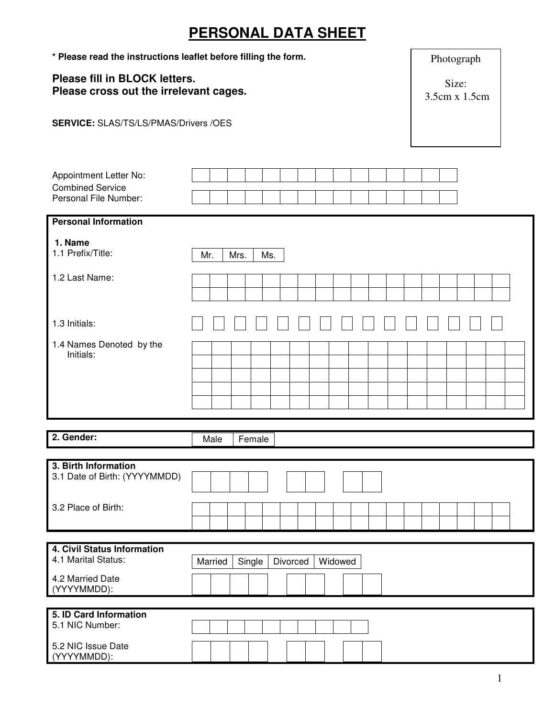## **PERSONAL DATA SHEET**

| * Please read the instructions leaflet before filling the form.         | Photograph                               |
|-------------------------------------------------------------------------|------------------------------------------|
| Please fill in BLOCK letters.<br>Please cross out the irrelevant cages. | Size:<br>3.5cm x 1.5cm                   |
| <b>SERVICE: SLAS/TS/LS/PMAS/Drivers /OES</b>                            |                                          |
|                                                                         |                                          |
| Appointment Letter No:                                                  |                                          |
| <b>Combined Service</b><br>Personal File Number:                        |                                          |
| <b>Personal Information</b>                                             |                                          |
| 1. Name<br>1.1 Prefix/Title:                                            | Mr.<br>Mrs.<br>Ms.                       |
| 1.2 Last Name:                                                          |                                          |
| 1.3 Initials:                                                           |                                          |
| 1.4 Names Denoted by the<br>Initials:                                   |                                          |
| 2. Gender:                                                              | Female<br>Male                           |
|                                                                         |                                          |
| 3. Birth Information<br>3.1 Date of Birth: (YYYYMMDD)                   |                                          |
| 3.2 Place of Birth:                                                     |                                          |
| 4. Civil Status Information                                             |                                          |
| 4.1 Marital Status:                                                     | Married<br>Single<br>Divorced<br>Widowed |
| 4.2 Married Date<br>(YYYYMMDD):                                         |                                          |
| 5. ID Card Information                                                  |                                          |
| 5.1 NIC Number:                                                         |                                          |
| 5.2 NIC Issue Date<br>(YYYYMMDD):                                       |                                          |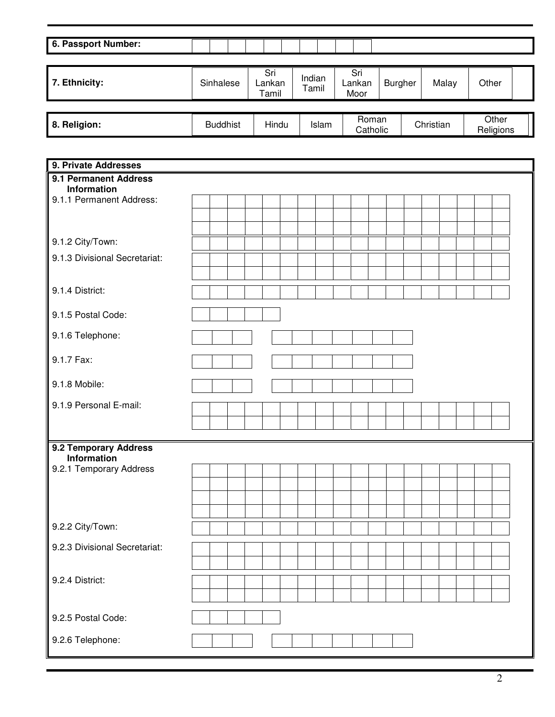| 6. Passport Number: |                 |                        |                 |                       |                |           |                    |  |
|---------------------|-----------------|------------------------|-----------------|-----------------------|----------------|-----------|--------------------|--|
|                     |                 |                        |                 |                       |                |           |                    |  |
| 7. Ethnicity:       | Sinhalese       | Sri<br>Lankan<br>Tamil | Indian<br>Tamil | Sri<br>Lankan<br>Moor | <b>Burgher</b> | Malay     | Other              |  |
|                     |                 |                        |                 |                       |                |           |                    |  |
| 8. Religion:        | <b>Buddhist</b> | Hindu                  | Islam           | Roman<br>Catholic     |                | Christian | Other<br>Religions |  |

| 9. Private Addresses                 |  |  |  |  |  |  |  |  |  |  |
|--------------------------------------|--|--|--|--|--|--|--|--|--|--|
| 9.1 Permanent Address<br>Information |  |  |  |  |  |  |  |  |  |  |
| 9.1.1 Permanent Address:             |  |  |  |  |  |  |  |  |  |  |
|                                      |  |  |  |  |  |  |  |  |  |  |
|                                      |  |  |  |  |  |  |  |  |  |  |
| 9.1.2 City/Town:                     |  |  |  |  |  |  |  |  |  |  |
| 9.1.3 Divisional Secretariat:        |  |  |  |  |  |  |  |  |  |  |
|                                      |  |  |  |  |  |  |  |  |  |  |
| 9.1.4 District:                      |  |  |  |  |  |  |  |  |  |  |
| 9.1.5 Postal Code:                   |  |  |  |  |  |  |  |  |  |  |
| 9.1.6 Telephone:                     |  |  |  |  |  |  |  |  |  |  |
| 9.1.7 Fax:                           |  |  |  |  |  |  |  |  |  |  |
| 9.1.8 Mobile:                        |  |  |  |  |  |  |  |  |  |  |
| 9.1.9 Personal E-mail:               |  |  |  |  |  |  |  |  |  |  |
|                                      |  |  |  |  |  |  |  |  |  |  |
|                                      |  |  |  |  |  |  |  |  |  |  |
| 9.2 Temporary Address<br>Information |  |  |  |  |  |  |  |  |  |  |
| 9.2.1 Temporary Address              |  |  |  |  |  |  |  |  |  |  |
|                                      |  |  |  |  |  |  |  |  |  |  |
|                                      |  |  |  |  |  |  |  |  |  |  |
|                                      |  |  |  |  |  |  |  |  |  |  |
| 9.2.2 City/Town:                     |  |  |  |  |  |  |  |  |  |  |
| 9.2.3 Divisional Secretariat:        |  |  |  |  |  |  |  |  |  |  |
|                                      |  |  |  |  |  |  |  |  |  |  |
| 9.2.4 District:                      |  |  |  |  |  |  |  |  |  |  |
|                                      |  |  |  |  |  |  |  |  |  |  |
| 9.2.5 Postal Code:                   |  |  |  |  |  |  |  |  |  |  |
| 9.2.6 Telephone:                     |  |  |  |  |  |  |  |  |  |  |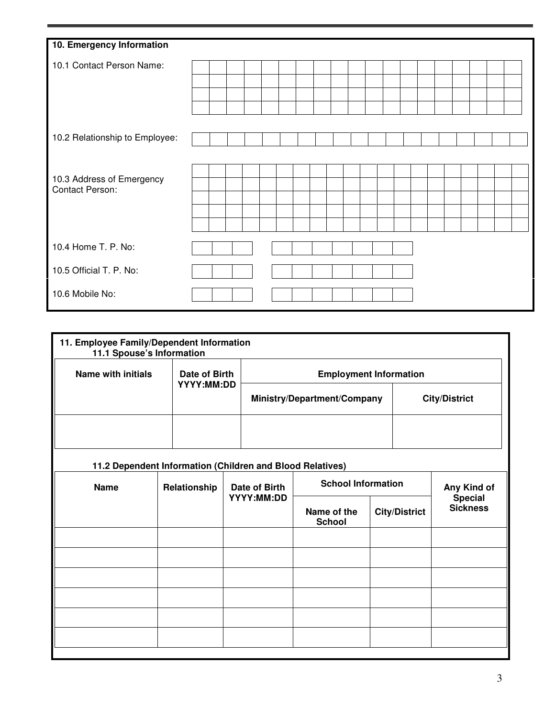| 10. Emergency Information                           |  |  |  |  |  |  |  |  |  |  |
|-----------------------------------------------------|--|--|--|--|--|--|--|--|--|--|
| 10.1 Contact Person Name:                           |  |  |  |  |  |  |  |  |  |  |
|                                                     |  |  |  |  |  |  |  |  |  |  |
|                                                     |  |  |  |  |  |  |  |  |  |  |
|                                                     |  |  |  |  |  |  |  |  |  |  |
| 10.2 Relationship to Employee:                      |  |  |  |  |  |  |  |  |  |  |
|                                                     |  |  |  |  |  |  |  |  |  |  |
|                                                     |  |  |  |  |  |  |  |  |  |  |
| 10.3 Address of Emergency<br><b>Contact Person:</b> |  |  |  |  |  |  |  |  |  |  |
|                                                     |  |  |  |  |  |  |  |  |  |  |
|                                                     |  |  |  |  |  |  |  |  |  |  |
|                                                     |  |  |  |  |  |  |  |  |  |  |
| 10.4 Home T. P. No:                                 |  |  |  |  |  |  |  |  |  |  |
| 10.5 Official T. P. No:                             |  |  |  |  |  |  |  |  |  |  |
| 10.6 Mobile No:                                     |  |  |  |  |  |  |  |  |  |  |

|                           | 11. Employee Family/Dependent Information<br>11.1 Spouse's Information |                                                           |  |               |                               |  |                      |                                   |  |  |  |  |  |
|---------------------------|------------------------------------------------------------------------|-----------------------------------------------------------|--|---------------|-------------------------------|--|----------------------|-----------------------------------|--|--|--|--|--|
| <b>Name with initials</b> |                                                                        | Date of Birth<br>YYYY:MM:DD                               |  |               | <b>Employment Information</b> |  |                      |                                   |  |  |  |  |  |
|                           |                                                                        |                                                           |  |               | Ministry/Department/Company   |  |                      | <b>City/District</b>              |  |  |  |  |  |
|                           |                                                                        |                                                           |  |               |                               |  |                      |                                   |  |  |  |  |  |
|                           |                                                                        | 11.2 Dependent Information (Children and Blood Relatives) |  |               |                               |  |                      |                                   |  |  |  |  |  |
| <b>Name</b>               |                                                                        | Relationship                                              |  | Date of Birth | <b>School Information</b>     |  | Any Kind of          |                                   |  |  |  |  |  |
|                           |                                                                        |                                                           |  | YYYY:MM:DD    | Name of the<br><b>School</b>  |  | <b>City/District</b> | <b>Special</b><br><b>Sickness</b> |  |  |  |  |  |
|                           |                                                                        |                                                           |  |               |                               |  |                      |                                   |  |  |  |  |  |
|                           |                                                                        |                                                           |  |               |                               |  |                      |                                   |  |  |  |  |  |
|                           |                                                                        |                                                           |  |               |                               |  |                      |                                   |  |  |  |  |  |
|                           |                                                                        |                                                           |  |               |                               |  |                      |                                   |  |  |  |  |  |
|                           |                                                                        |                                                           |  |               |                               |  |                      |                                   |  |  |  |  |  |
|                           |                                                                        |                                                           |  |               |                               |  |                      |                                   |  |  |  |  |  |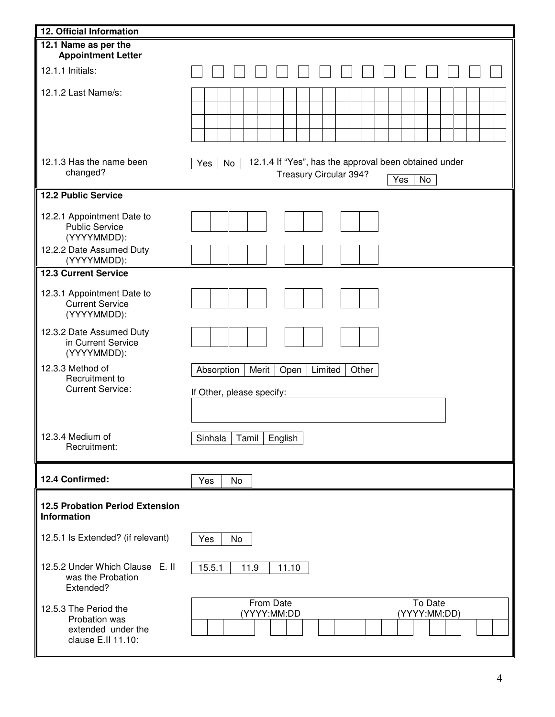| 12. Official Information                                                           |                                                                                                                         |
|------------------------------------------------------------------------------------|-------------------------------------------------------------------------------------------------------------------------|
| 12.1 Name as per the<br><b>Appointment Letter</b>                                  |                                                                                                                         |
| 12.1.1 Initials:                                                                   |                                                                                                                         |
| 12.1.2 Last Name/s:                                                                |                                                                                                                         |
| 12.1.3 Has the name been<br>changed?                                               | 12.1.4 If "Yes", has the approval been obtained under<br>No<br>Yes<br>Treasury Circular 394?<br>$\overline{Y}$ es<br>No |
| <b>12.2 Public Service</b>                                                         |                                                                                                                         |
| 12.2.1 Appointment Date to<br><b>Public Service</b><br>(YYYYMMDD):                 |                                                                                                                         |
| 12.2.2 Date Assumed Duty<br>(YYYYMMDD):                                            |                                                                                                                         |
| <b>12.3 Current Service</b>                                                        |                                                                                                                         |
| 12.3.1 Appointment Date to<br><b>Current Service</b><br>(YYYYMMDD):                |                                                                                                                         |
| 12.3.2 Date Assumed Duty<br>in Current Service<br>(YYYYMMDD):                      |                                                                                                                         |
| 12.3.3 Method of<br>Recruitment to<br><b>Current Service:</b>                      | Limited<br>Absorption<br>Merit<br>Open<br>Other<br>If Other, please specify:                                            |
| 12.3.4 Medium of<br>Recruitment:                                                   | Tamil<br>English<br>Sinhala                                                                                             |
| 12.4 Confirmed:                                                                    | Yes<br>No                                                                                                               |
| <b>12.5 Probation Period Extension</b><br>Information                              |                                                                                                                         |
| 12.5.1 Is Extended? (if relevant)                                                  | Yes<br>No                                                                                                               |
| 12.5.2 Under Which Clause E. II<br>was the Probation<br>Extended?                  | 15.5.1<br>11.9<br>11.10                                                                                                 |
| 12.5.3 The Period the<br>Probation was<br>extended under the<br>clause E.II 11.10: | From Date<br>To Date<br>(YYYY:MM:DD)<br>(YYYY:MM:DD                                                                     |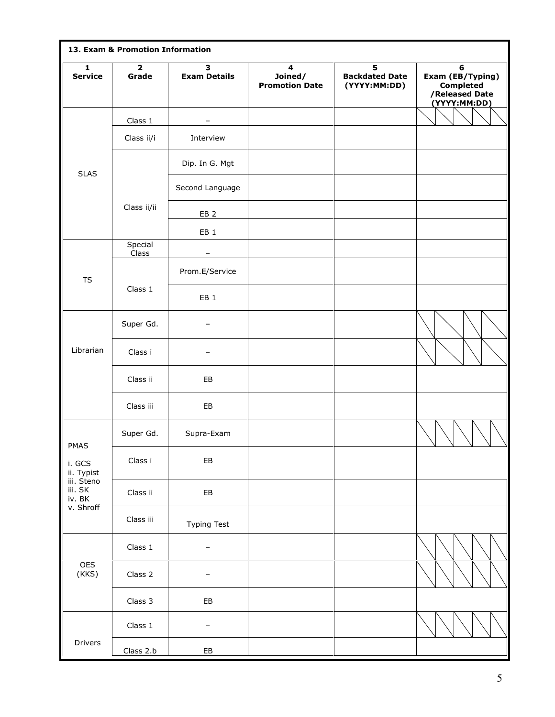|                                 | 13. Exam & Promotion Information |                          |                                                             |                                            |                                                                             |
|---------------------------------|----------------------------------|--------------------------|-------------------------------------------------------------|--------------------------------------------|-----------------------------------------------------------------------------|
| $\mathbf{1}$<br><b>Service</b>  | $\overline{\mathbf{2}}$<br>Grade | 3<br><b>Exam Details</b> | $\overline{\mathbf{4}}$<br>Joined/<br><b>Promotion Date</b> | 5<br><b>Backdated Date</b><br>(YYYY:MM:DD) | 6<br>Exam (EB/Typing)<br><b>Completed</b><br>/Released Date<br>(YYYY:MM:DD) |
|                                 | Class 1                          | $\overline{\phantom{a}}$ |                                                             |                                            |                                                                             |
|                                 | Class ii/i                       | Interview                |                                                             |                                            |                                                                             |
| <b>SLAS</b>                     |                                  | Dip. In G. Mgt           |                                                             |                                            |                                                                             |
|                                 |                                  | Second Language          |                                                             |                                            |                                                                             |
|                                 | Class ii/ii                      | EB <sub>2</sub>          |                                                             |                                            |                                                                             |
|                                 |                                  | EB <sub>1</sub>          |                                                             |                                            |                                                                             |
|                                 | Special<br>Class                 |                          |                                                             |                                            |                                                                             |
| <b>TS</b>                       |                                  | Prom.E/Service           |                                                             |                                            |                                                                             |
|                                 | Class 1                          | EB <sub>1</sub>          |                                                             |                                            |                                                                             |
|                                 | Super Gd.                        | -                        |                                                             |                                            |                                                                             |
| Librarian                       | Class i                          |                          |                                                             |                                            |                                                                             |
|                                 | Class ii                         | EB                       |                                                             |                                            |                                                                             |
|                                 | Class iii                        | EB                       |                                                             |                                            |                                                                             |
| PMAS                            | Super Gd.                        | Supra-Exam               |                                                             |                                            |                                                                             |
| i. GCS<br>ii. Typist            | Class i                          | EB                       |                                                             |                                            |                                                                             |
| iii. Steno<br>iii. SK<br>iv. BK | Class ii                         | EB                       |                                                             |                                            |                                                                             |
| v. Shroff                       | Class iii                        | <b>Typing Test</b>       |                                                             |                                            |                                                                             |
|                                 | Class 1                          | $\overline{\phantom{a}}$ |                                                             |                                            |                                                                             |
| OES<br>(KKS)                    | Class 2                          |                          |                                                             |                                            |                                                                             |
|                                 | Class 3                          | EB                       |                                                             |                                            |                                                                             |
|                                 | Class 1                          | $\qquad \qquad -$        |                                                             |                                            |                                                                             |
| Drivers                         | Class 2.b                        | EB                       |                                                             |                                            |                                                                             |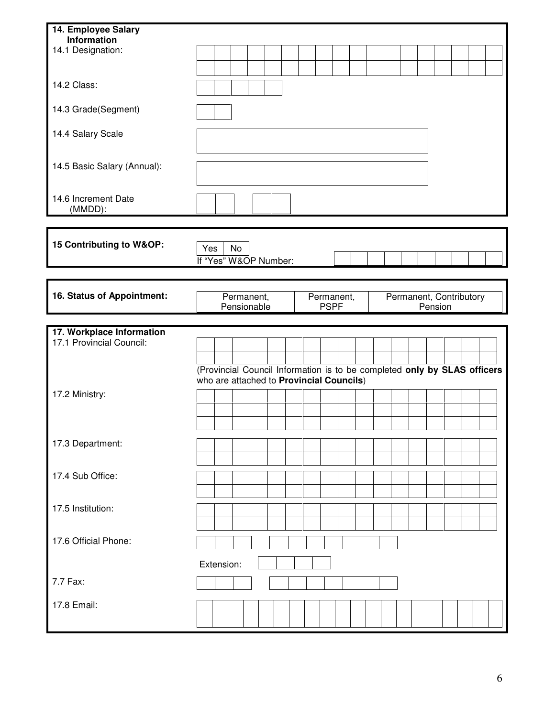| 14. Employee Salary         |                                          |            |                                                                          |  |  |             |            |  |  |         |  |                         |  |
|-----------------------------|------------------------------------------|------------|--------------------------------------------------------------------------|--|--|-------------|------------|--|--|---------|--|-------------------------|--|
| Information                 |                                          |            |                                                                          |  |  |             |            |  |  |         |  |                         |  |
| 14.1 Designation:           |                                          |            |                                                                          |  |  |             |            |  |  |         |  |                         |  |
|                             |                                          |            |                                                                          |  |  |             |            |  |  |         |  |                         |  |
|                             |                                          |            |                                                                          |  |  |             |            |  |  |         |  |                         |  |
| 14.2 Class:                 |                                          |            |                                                                          |  |  |             |            |  |  |         |  |                         |  |
|                             |                                          |            |                                                                          |  |  |             |            |  |  |         |  |                         |  |
| 14.3 Grade(Segment)         |                                          |            |                                                                          |  |  |             |            |  |  |         |  |                         |  |
|                             |                                          |            |                                                                          |  |  |             |            |  |  |         |  |                         |  |
| 14.4 Salary Scale           |                                          |            |                                                                          |  |  |             |            |  |  |         |  |                         |  |
|                             |                                          |            |                                                                          |  |  |             |            |  |  |         |  |                         |  |
| 14.5 Basic Salary (Annual): |                                          |            |                                                                          |  |  |             |            |  |  |         |  |                         |  |
|                             |                                          |            |                                                                          |  |  |             |            |  |  |         |  |                         |  |
|                             |                                          |            |                                                                          |  |  |             |            |  |  |         |  |                         |  |
| 14.6 Increment Date         |                                          |            |                                                                          |  |  |             |            |  |  |         |  |                         |  |
| (MMDD):                     |                                          |            |                                                                          |  |  |             |            |  |  |         |  |                         |  |
|                             |                                          |            |                                                                          |  |  |             |            |  |  |         |  |                         |  |
| 15 Contributing to W&OP:    |                                          |            |                                                                          |  |  |             |            |  |  |         |  |                         |  |
|                             | Yes                                      |            | No                                                                       |  |  |             |            |  |  |         |  |                         |  |
|                             |                                          |            | If "Yes" W&OP Number:                                                    |  |  |             |            |  |  |         |  |                         |  |
|                             |                                          |            |                                                                          |  |  |             |            |  |  |         |  |                         |  |
|                             |                                          |            |                                                                          |  |  |             |            |  |  |         |  |                         |  |
| 16. Status of Appointment:  |                                          |            | Permanent,                                                               |  |  |             | Permanent, |  |  |         |  | Permanent, Contributory |  |
|                             |                                          |            | Pensionable                                                              |  |  | <b>PSPF</b> |            |  |  | Pension |  |                         |  |
|                             |                                          |            |                                                                          |  |  |             |            |  |  |         |  |                         |  |
|                             |                                          |            |                                                                          |  |  |             |            |  |  |         |  |                         |  |
| 17. Workplace Information   |                                          |            |                                                                          |  |  |             |            |  |  |         |  |                         |  |
| 17.1 Provincial Council:    |                                          |            |                                                                          |  |  |             |            |  |  |         |  |                         |  |
|                             |                                          |            |                                                                          |  |  |             |            |  |  |         |  |                         |  |
|                             |                                          |            | (Provincial Council Information is to be completed only by SLAS officers |  |  |             |            |  |  |         |  |                         |  |
|                             | who are attached to Provincial Councils) |            |                                                                          |  |  |             |            |  |  |         |  |                         |  |
| 17.2 Ministry:              |                                          |            |                                                                          |  |  |             |            |  |  |         |  |                         |  |
|                             |                                          |            |                                                                          |  |  |             |            |  |  |         |  |                         |  |
|                             |                                          |            |                                                                          |  |  |             |            |  |  |         |  |                         |  |
|                             |                                          |            |                                                                          |  |  |             |            |  |  |         |  |                         |  |
| 17.3 Department:            |                                          |            |                                                                          |  |  |             |            |  |  |         |  |                         |  |
|                             |                                          |            |                                                                          |  |  |             |            |  |  |         |  |                         |  |
|                             |                                          |            |                                                                          |  |  |             |            |  |  |         |  |                         |  |
| 17.4 Sub Office:            |                                          |            |                                                                          |  |  |             |            |  |  |         |  |                         |  |
|                             |                                          |            |                                                                          |  |  |             |            |  |  |         |  |                         |  |
| 17.5 Institution:           |                                          |            |                                                                          |  |  |             |            |  |  |         |  |                         |  |
|                             |                                          |            |                                                                          |  |  |             |            |  |  |         |  |                         |  |
|                             |                                          |            |                                                                          |  |  |             |            |  |  |         |  |                         |  |
| 17.6 Official Phone:        |                                          |            |                                                                          |  |  |             |            |  |  |         |  |                         |  |
|                             |                                          |            |                                                                          |  |  |             |            |  |  |         |  |                         |  |
|                             |                                          | Extension: |                                                                          |  |  |             |            |  |  |         |  |                         |  |
|                             |                                          |            |                                                                          |  |  |             |            |  |  |         |  |                         |  |
| 7.7 Fax:                    |                                          |            |                                                                          |  |  |             |            |  |  |         |  |                         |  |
|                             |                                          |            |                                                                          |  |  |             |            |  |  |         |  |                         |  |
| 17.8 Email:                 |                                          |            |                                                                          |  |  |             |            |  |  |         |  |                         |  |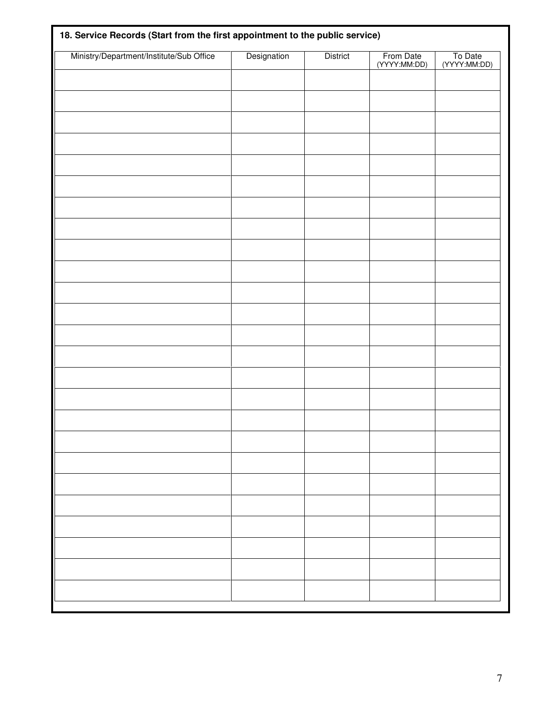| Ministry/Department/Institute/Sub Office | Designation | <b>District</b> | From Date<br>(YYYY:MM:DD) | To Date<br>(YYYY:MM:DD) |
|------------------------------------------|-------------|-----------------|---------------------------|-------------------------|
|                                          |             |                 |                           |                         |
|                                          |             |                 |                           |                         |
|                                          |             |                 |                           |                         |
|                                          |             |                 |                           |                         |
|                                          |             |                 |                           |                         |
|                                          |             |                 |                           |                         |
|                                          |             |                 |                           |                         |
|                                          |             |                 |                           |                         |
|                                          |             |                 |                           |                         |
|                                          |             |                 |                           |                         |
|                                          |             |                 |                           |                         |
|                                          |             |                 |                           |                         |
|                                          |             |                 |                           |                         |
|                                          |             |                 |                           |                         |
|                                          |             |                 |                           |                         |
|                                          |             |                 |                           |                         |
|                                          |             |                 |                           |                         |
|                                          |             |                 |                           |                         |
|                                          |             |                 |                           |                         |
|                                          |             |                 |                           |                         |
|                                          |             |                 |                           |                         |
|                                          |             |                 |                           |                         |
|                                          |             |                 |                           |                         |
|                                          |             |                 |                           |                         |
|                                          |             |                 |                           |                         |
|                                          |             |                 |                           |                         |
|                                          |             |                 |                           |                         |
|                                          |             |                 |                           |                         |
|                                          |             |                 |                           |                         |
|                                          |             |                 |                           |                         |
|                                          |             |                 |                           |                         |
|                                          |             |                 |                           |                         |
|                                          |             |                 |                           |                         |
|                                          |             |                 |                           |                         |
|                                          |             |                 |                           |                         |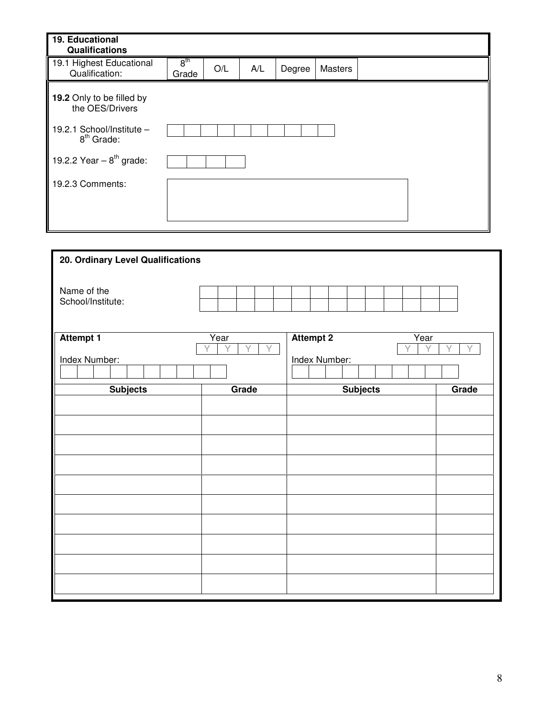| 19. Educational<br>Qualifications            |                          |     |     |        |                |  |  |
|----------------------------------------------|--------------------------|-----|-----|--------|----------------|--|--|
| 19.1 Highest Educational<br>Qualification:   | 8 <sup>th</sup><br>Grade | O/L | A/L | Degree | <b>Masters</b> |  |  |
| 19.2 Only to be filled by<br>the OES/Drivers |                          |     |     |        |                |  |  |
| 19.2.1 School/Institute -<br>$8th$ Grade:    |                          |     |     |        |                |  |  |
| 19.2.2 Year $-8^{th}$ grade:                 |                          |     |     |        |                |  |  |
| 19.2.3 Comments:                             |                          |     |     |        |                |  |  |
|                                              |                          |     |     |        |                |  |  |
|                                              |                          |     |     |        |                |  |  |

| 20. Ordinary Level Qualifications |                     |                               |       |
|-----------------------------------|---------------------|-------------------------------|-------|
| Name of the<br>School/Institute:  |                     |                               |       |
| <b>Attempt 1</b>                  | Year<br>V<br>γ<br>Υ | <b>Attempt 2</b><br>Year<br>Ÿ | V     |
| Index Number:                     |                     | Index Number:                 |       |
| <b>Subjects</b>                   | Grade               | <b>Subjects</b>               | Grade |
|                                   |                     |                               |       |
|                                   |                     |                               |       |
|                                   |                     |                               |       |
|                                   |                     |                               |       |
|                                   |                     |                               |       |
|                                   |                     |                               |       |
|                                   |                     |                               |       |
|                                   |                     |                               |       |
|                                   |                     |                               |       |
|                                   |                     |                               |       |
|                                   |                     |                               |       |
|                                   |                     |                               |       |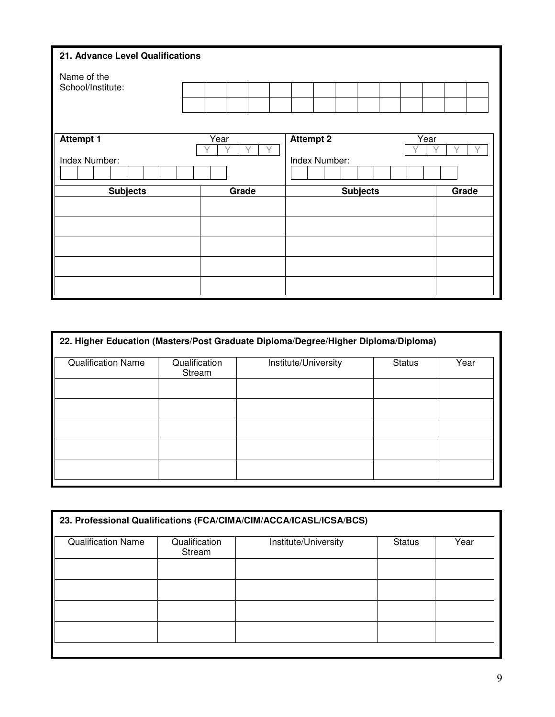| 21. Advance Level Qualifications |      |       |  |                  |  |                 |  |      |       |  |  |  |
|----------------------------------|------|-------|--|------------------|--|-----------------|--|------|-------|--|--|--|
| Name of the                      |      |       |  |                  |  |                 |  |      |       |  |  |  |
| School/Institute:                |      |       |  |                  |  |                 |  |      |       |  |  |  |
|                                  |      |       |  |                  |  |                 |  |      |       |  |  |  |
|                                  |      |       |  |                  |  |                 |  |      |       |  |  |  |
| <b>Attempt 1</b>                 | Year |       |  | <b>Attempt 2</b> |  |                 |  | Year |       |  |  |  |
| Index Number:                    |      |       |  | Index Number:    |  |                 |  |      |       |  |  |  |
|                                  |      |       |  |                  |  |                 |  |      |       |  |  |  |
| <b>Subjects</b>                  |      | Grade |  |                  |  | <b>Subjects</b> |  |      | Grade |  |  |  |
|                                  |      |       |  |                  |  |                 |  |      |       |  |  |  |
|                                  |      |       |  |                  |  |                 |  |      |       |  |  |  |
|                                  |      |       |  |                  |  |                 |  |      |       |  |  |  |
|                                  |      |       |  |                  |  |                 |  |      |       |  |  |  |
|                                  |      |       |  |                  |  |                 |  |      |       |  |  |  |
|                                  |      |       |  |                  |  |                 |  |      |       |  |  |  |

| 22. Higher Education (Masters/Post Graduate Diploma/Degree/Higher Diploma/Diploma) |                         |                      |               |      |
|------------------------------------------------------------------------------------|-------------------------|----------------------|---------------|------|
| <b>Qualification Name</b>                                                          | Qualification<br>Stream | Institute/University | <b>Status</b> | Year |
|                                                                                    |                         |                      |               |      |
|                                                                                    |                         |                      |               |      |
|                                                                                    |                         |                      |               |      |
|                                                                                    |                         |                      |               |      |
|                                                                                    |                         |                      |               |      |

| 23. Professional Qualifications (FCA/CIMA/CIM/ACCA/ICASL/ICSA/BCS) |                         |                      |               |      |
|--------------------------------------------------------------------|-------------------------|----------------------|---------------|------|
| <b>Qualification Name</b>                                          | Qualification<br>Stream | Institute/University | <b>Status</b> | Year |
|                                                                    |                         |                      |               |      |
|                                                                    |                         |                      |               |      |
|                                                                    |                         |                      |               |      |
|                                                                    |                         |                      |               |      |
|                                                                    |                         |                      |               |      |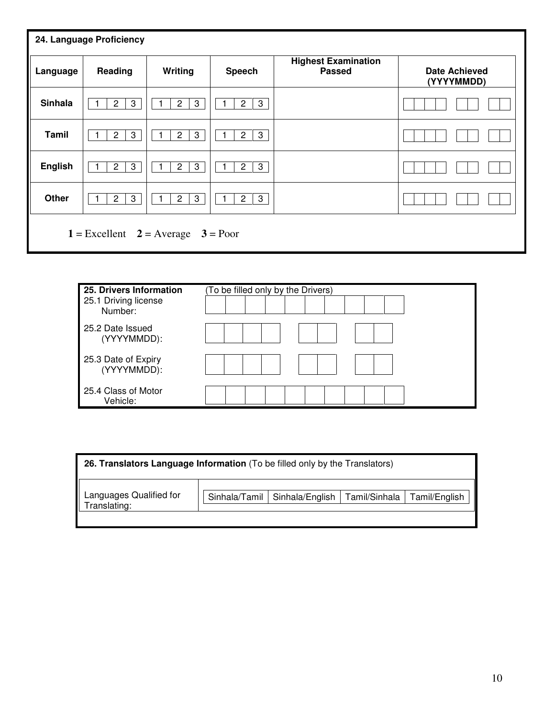| 24. Language Proficiency                    |                     |                                |                     |                                             |                                    |
|---------------------------------------------|---------------------|--------------------------------|---------------------|---------------------------------------------|------------------------------------|
| Language                                    | Reading             | Writing                        | Speech              | <b>Highest Examination</b><br><b>Passed</b> | <b>Date Achieved</b><br>(YYYYMMDD) |
| <b>Sinhala</b>                              | 3<br>$\mathbf{2}$   | $\mathbf{3}$<br>$\overline{c}$ | 3<br>$\mathbf{2}$   |                                             |                                    |
| Tamil                                       | 3<br>$\overline{2}$ | $\mathbf{3}$<br>$\overline{2}$ | 3<br>$\overline{2}$ |                                             |                                    |
| <b>English</b>                              | 3<br>$\overline{2}$ | 3<br>$\mathbf{2}$              | 3<br>$\overline{2}$ |                                             |                                    |
| Other                                       | 3<br>$\overline{2}$ | $\mathbf{2}$<br>3              | 3<br>$\mathbf{2}$   |                                             |                                    |
| $1 =$ Excellent $2 =$ Average<br>$3 = Poor$ |                     |                                |                     |                                             |                                    |

| 25. Drivers Information            | (To be filled only by the Drivers) |
|------------------------------------|------------------------------------|
| 25.1 Driving license<br>Number:    |                                    |
| 25.2 Date Issued<br>(YYYYMMDD):    |                                    |
| 25.3 Date of Expiry<br>(YYYYMMDD): |                                    |
| 25.4 Class of Motor<br>Vehicle:    |                                    |

| 26. Translators Language Information (To be filled only by the Translators) |  |                                                                 |  |  |
|-----------------------------------------------------------------------------|--|-----------------------------------------------------------------|--|--|
| Languages Qualified for                                                     |  | Sinhala/Tamil   Sinhala/English   Tamil/Sinhala   Tamil/English |  |  |
| <b>Franslating:</b>                                                         |  |                                                                 |  |  |